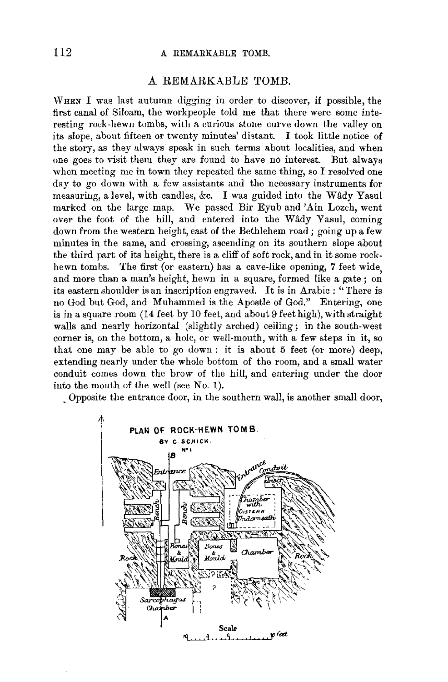## 112 **A REMARKABLE TOMB.**

## .A REMARKABLE TOMB.

WHEN I was last autumn digging in order to discover, if possible, the first canal of Siloam, the workpeople told me that there were some interesting rock-hewn tombs, with a curious stone curve down the valley on its slope, about fifteen or twenty minutes' distant. I took little notice of the story, as they always speak in such terms about localities, and when one goes to visit them they are found to have no interest. But always when meeting me in town they repeated the same thing, so I resolved one day to go down with a few assistants and the necessary instruments for measuring, a level, with candles, &c. I was guided into the Wady Yasul marked on the large map. We passed Bir Eyub and 'Ain Lozeh, went over the foot of the hill, and entered into the Wady Yasul, coming down from the western height, east of the Bethlehem road ; going up a few minutes in the same, and crossing, ascending on its southern slope about the third part of its height, there is a cliff of soft rock, and in it some rockhewn tombs. The first (or eastern) has a cave-like opening, 7 feet wide, and more than a man's height, hewn in a square, formed like a gate ; on its eastern shoulder is an inscription engraved. It is in Arabic: "There is no God but God, and Muhammed is the Apostle of God." Entering, one is in a square room (14 feet by 10 feet, and about 9 feet high), with straight walls and nearly horizontal (slightly arched) ceiling; in the south-west corner is, on the bottom, a hole, or well-mouth, with a few steps in it, so that one may be able to go down : it is about 5 feet (or more) deep, extending nearly under the whole bottom of the room, and a small water conduit comes down the brow of the hill, and enteriug under the door into the mouth of the well (see No. 1).

Opposite the entrance door, in the southern wall, is another small door,

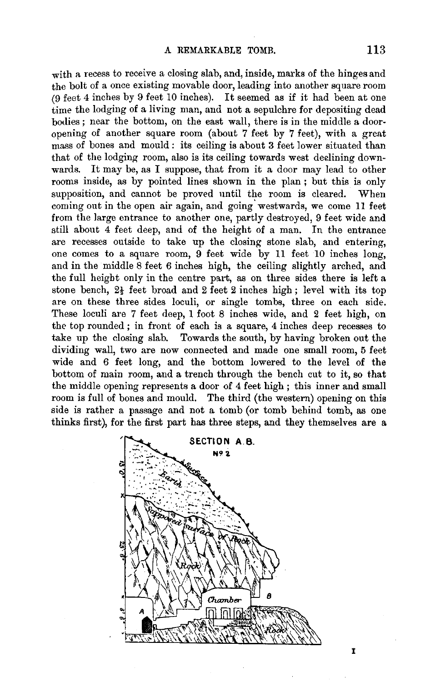with a recess to receive a closing slab, and, inside, marks of the hinges and the bolt of a once existing movable door, leading into another square room (9 feet 4 inches by 9 feet 10 inches). It seemed as if it had been at one time the lodging of a living man, and not a sepulchre for depositing dead bodies; near the bottom, on the east wall, there is in the middle a dooropening of another square room (about 7 feet by 7 feet), with a great mass of bones and mould : its ceiling is about 3 feet lower situated than that of the lodging room, also is its ceiling towards west dedining downwards. It may be, as I suppose, that from it a door may lead to other rooms inside, as by pointed lines shown in the plan; but this is only supposition, and cannot be proved until the room is cleared. When supposition, and cannot be proved until the room is cleared. coming out in the open air again, and going westwards, we come 11 feet from the large entrance to another one, partly destroyed, 9 feet wide and still about  $\frac{3}{4}$  feet deep, and of the height of a man. In the entrance are recesses outside to take up the closing stone slab, and entering, one comes to a square room, 9 feet wide by 11 feet 10 inches long, and in the middle 8 feet 6 inches high, the ceiling slightly arched, and the full height only in the centre part, as on three sides there is left a stone bench,  $2\frac{1}{2}$  feet broad and  $2$  feet 2 inches high; level with its top are on these three sides loculi, or single tombs, three on each side. These loculi are 7 feet deep, 1 foot 8 inches wide, and 2 feet high, on the top rounded ; in front of each is a square, 4 inches deep recesses to take up the closing slab. Towards the south, by having broken out the dividing wall, two are now connected and made one small room, 5 feet wide and 6 feet long, and the bottom lowered to the level of the bottom of main room, and a trench through the bench cut to it, so that the middle opening represents a door of  $4$  feet high; this inner and small room is full of bones and mould. The third (the western) opening on this side is rather a passage and not a tomb (or tomb behind tomb, as one thinks first), for the first part has three steps, and they themselves are a

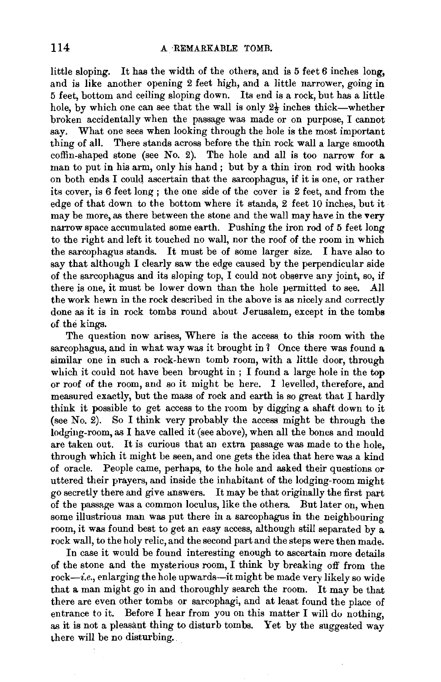little sloping. It has the width of the others, and is 5 feet 6 inches long. and is like another opening 2 feet high, and a little narrower, going in 5 feet, bottom and ceiling sloping down. Its end is a rock, but has a little hole, by which one can see that the wall is only  $2\frac{1}{2}$  inches thick-whether broken accidentally when the passage was made or on purpose, I cannot say. What one sees when looking through the hole is the most important thing of all. There stands across before the thin rock wall a large smooth coffin-shaped stone (see No. 2). The hole and all is too narrow for a man to put in his arm, only his hand ; but by a thin iron rod with hooks on both ends I could ascertain that the sarcophagus, if it is one, or rather its cover, is 6 feet long ; the one side of the cover is 2 feet, and from the edge of that down to the bottom where it stands, 2 feet 10 inches, but it may be more, as there between the stone and the wall may have in the very narrow space accumulated some earth. Pushing the iron rod of 5 feet long to the right and left it touched no wall, nor the roof of the room in which the sarcophagus stands. It must be of some larger size. I have also to say that although I clearly saw the edge caused by the perpendicular side of the sarcophagus and its sloping top, I could not observe any joint, so, if there is one, it must be lower down than the hole permitted to see. All the work hewn in the rock described in the above is as nicely and correctly done as it is in rock tombs round about Jerusalem, except in the tombs of the kings.

The question now arises, Where is the access to this room with the sarcophagus, and in what way was it brought in ? Once there was found a similar one in such a rock-hewn tomb room, with a little door, through which it could not have been brought in ; I found a large hole in the top or roof of the room, and so it might be here. I levelled, therefore, and measured exactly, but the mass of rock and earth is so great that I hardly think it possible to get access to the room by digging a shaft down to it (see No. 2). So I think very probably the access might be through the lodging-room, as I have called it (see above), when all the bones and mould are taken out. It is curious that an extra passage was made to the hole, through which it might be seen, and one gets the idea that here was a kind of oracle. People came, perhaps, to the hole and asked their questions or uttered their prayers, and inside the inhabitant of the lodging-room might go secretly there and give answers. It may be that originally the first part of the passage was a common loculus, like the others. But later on, when some illustrious man was put there in a sarcophagus in the neighbouring room, it was found best to get an easy access, although still separated by a rock wall, to the holy relic, and the second part and the steps were then made.

In case it would be found interesting enough to ascertain more details of the stone and the mysterious room,  $\overline{I}$  think by breaking off from the  $rock- i.e., enlarging the hole upwards-it might be made very likely so wide$ that a man might go in and thoroughly search the room. It may be that there are even other tombs or sarcophagi, and at least found the place of entrance to it. Before I hear from you on this matter I will do nothing, as it is not a pleasant thing to disturb tombs. Yet by the suggested way there will be no disturbing.